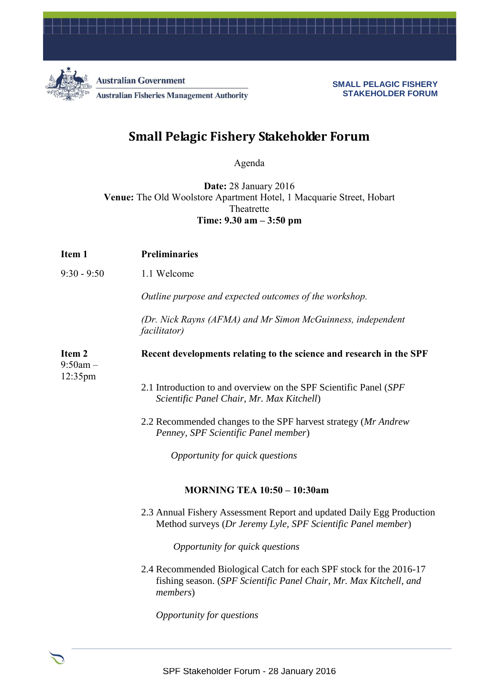

**Australian Government Australian Fisheries Management Authority** 

**SMALL PELAGIC FISHERY STAKEHOLDER FORUM**

## **Small Pelagic Fishery Stakeholder Forum**

Agenda

**Date:** 28 January 2016 **Venue:** The Old Woolstore Apartment Hotel, 1 Macquarie Street, Hobart Theatrette **Time: 9.30 am – 3:50 pm**

| Item 1                                     | <b>Preliminaries</b>                                                                                                                                          |
|--------------------------------------------|---------------------------------------------------------------------------------------------------------------------------------------------------------------|
| $9:30 - 9:50$                              | 1.1 Welcome                                                                                                                                                   |
|                                            | Outline purpose and expected outcomes of the workshop.                                                                                                        |
|                                            | (Dr. Nick Rayns (AFMA) and Mr Simon McGuinness, independent<br><i>facilitator</i> )                                                                           |
| Item <sub>2</sub><br>$9:50am -$<br>12:35pm | Recent developments relating to the science and research in the SPF                                                                                           |
|                                            | 2.1 Introduction to and overview on the SPF Scientific Panel (SPF)<br>Scientific Panel Chair, Mr. Max Kitchell)                                               |
|                                            | 2.2 Recommended changes to the SPF harvest strategy (Mr Andrew<br>Penney, SPF Scientific Panel member)                                                        |
|                                            | Opportunity for quick questions                                                                                                                               |
|                                            | <b>MORNING TEA 10:50 - 10:30am</b>                                                                                                                            |
|                                            | 2.3 Annual Fishery Assessment Report and updated Daily Egg Production<br>Method surveys (Dr Jeremy Lyle, SPF Scientific Panel member)                         |
|                                            | Opportunity for quick questions                                                                                                                               |
|                                            | 2.4 Recommended Biological Catch for each SPF stock for the 2016-17<br>fishing season. (SPF Scientific Panel Chair, Mr. Max Kitchell, and<br><i>members</i> ) |
|                                            | Opportunity for questions                                                                                                                                     |